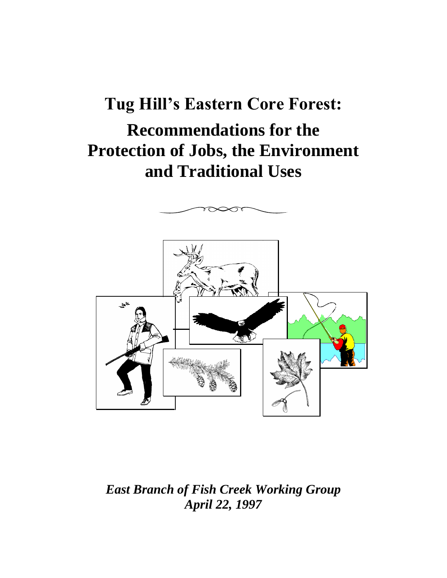# **Tug Hill's Eastern Core Forest: Recommendations for the Protection of Jobs, the Environment and Traditional Uses**



*East Branch of Fish Creek Working Group April 22, 1997*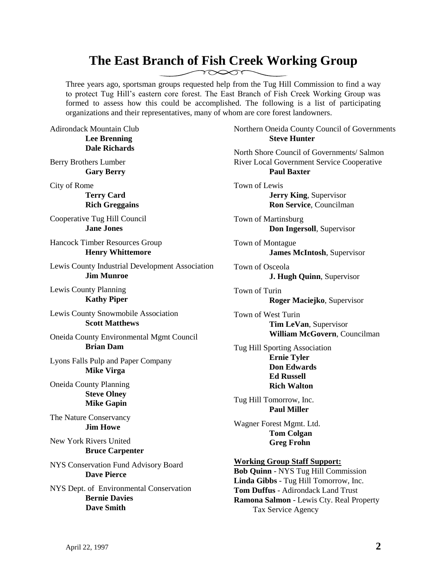#### **The East Branch of Fish Creek Working Group**   $\gamma \infty$

Three years ago, sportsman groups requested help from the Tug Hill Commission to find a way to protect Tug Hill's eastern core forest. The East Branch of Fish Creek Working Group was formed to assess how this could be accomplished. The following is a list of participating organizations and their representatives, many of whom are core forest landowners.

Adirondack Mountain Club **Lee Brenning Dale Richards**

Berry Brothers Lumber **Gary Berry**

City of Rome

**Terry Card Rich Greggains**

Cooperative Tug Hill Council **Jane Jones**

Hancock Timber Resources Group **Henry Whittemore**

Lewis County Industrial Development Association **Jim Munroe**

Lewis County Planning **Kathy Piper**

Lewis County Snowmobile Association **Scott Matthews**

Oneida County Environmental Mgmt Council **Brian Dam**

Lyons Falls Pulp and Paper Company **Mike Virga**

Oneida County Planning **Steve Olney Mike Gapin**

The Nature Conservancy **Jim Howe**

New York Rivers United **Bruce Carpenter**

NYS Conservation Fund Advisory Board **Dave Pierce**

NYS Dept. of Environmental Conservation **Bernie Davies Dave Smith**

Northern Oneida County Council of Governments **Steve Hunter**

North Shore Council of Governments/ Salmon River Local Government Service Cooperative **Paul Baxter**

Town of Lewis **Jerry King**, Supervisor **Ron Service**, Councilman

Town of Martinsburg **Don Ingersoll**, Supervisor

Town of Montague **James McIntosh**, Supervisor

Town of Osceola **J. Hugh Quinn**, Supervisor

Town of Turin **Roger Maciejko**, Supervisor

Town of West Turin **Tim LeVan**, Supervisor **William McGovern**, Councilman

Tug Hill Sporting Association **Ernie Tyler Don Edwards Ed Russell Rich Walton**

Tug Hill Tomorrow, Inc. **Paul Miller**

Wagner Forest Mgmt. Ltd. **Tom Colgan Greg Frohn**

#### **Working Group Staff Support:**

**Bob Quinn** - NYS Tug Hill Commission **Linda Gibbs** - Tug Hill Tomorrow, Inc. **Tom Duffus** - Adirondack Land Trust **Ramona Salmon** - Lewis Cty. Real Property Tax Service Agency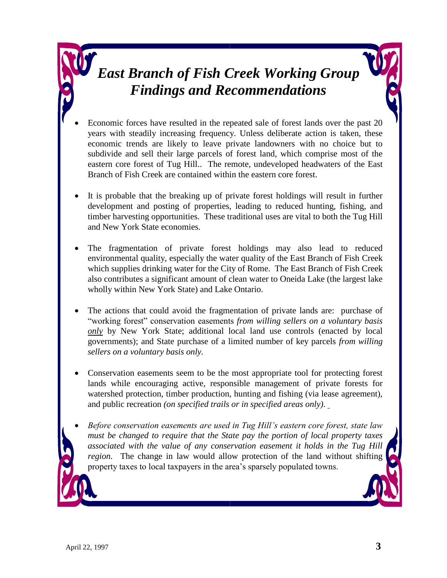## *East Branch of Fish Creek Working Group Findings and Recommendations*

- Economic forces have resulted in the repeated sale of forest lands over the past 20 years with steadily increasing frequency. Unless deliberate action is taken, these economic trends are likely to leave private landowners with no choice but to subdivide and sell their large parcels of forest land, which comprise most of the eastern core forest of Tug Hill.. The remote, undeveloped headwaters of the East Branch of Fish Creek are contained within the eastern core forest.
- It is probable that the breaking up of private forest holdings will result in further development and posting of properties, leading to reduced hunting, fishing, and timber harvesting opportunities. These traditional uses are vital to both the Tug Hill and New York State economies.
- The fragmentation of private forest holdings may also lead to reduced environmental quality, especially the water quality of the East Branch of Fish Creek which supplies drinking water for the City of Rome. The East Branch of Fish Creek also contributes a significant amount of clean water to Oneida Lake (the largest lake wholly within New York State) and Lake Ontario.
- The actions that could avoid the fragmentation of private lands are: purchase of "working forest" conservation easements *from willing sellers on a voluntary basis only* by New York State; additional local land use controls (enacted by local governments); and State purchase of a limited number of key parcels *from willing sellers on a voluntary basis only.*
- Conservation easements seem to be the most appropriate tool for protecting forest lands while encouraging active, responsible management of private forests for watershed protection, timber production, hunting and fishing (via lease agreement), and public recreation *(on specified trails or in specified areas only)*.
- *Before conservation easements are used in Tug Hill's eastern core forest, state law must be changed to require that the State pay the portion of local property taxes associated with the value of any conservation easement it holds in the Tug Hill region.* The change in law would allow protection of the land without shifting property taxes to local taxpayers in the area's sparsely populated towns.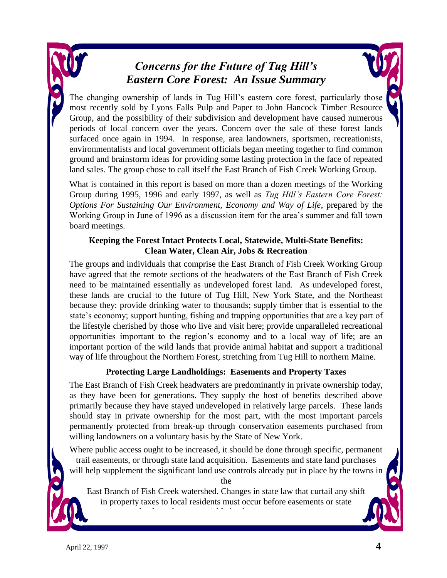#### *Concerns for the Future of Tug Hill's Eastern Core Forest: An Issue Summary*

The changing ownership of lands in Tug Hill's eastern core forest, particularly those most recently sold by Lyons Falls Pulp and Paper to John Hancock Timber Resource Group, and the possibility of their subdivision and development have caused numerous periods of local concern over the years. Concern over the sale of these forest lands surfaced once again in 1994. In response, area landowners, sportsmen, recreationists, environmentalists and local government officials began meeting together to find common ground and brainstorm ideas for providing some lasting protection in the face of repeated land sales. The group chose to call itself the East Branch of Fish Creek Working Group.

What is contained in this report is based on more than a dozen meetings of the Working Group during 1995, 1996 and early 1997, as well as *Tug Hill's Eastern Core Forest: Options For Sustaining Our Environment, Economy and Way of Life*, prepared by the Working Group in June of 1996 as a discussion item for the area's summer and fall town board meetings.

#### **Keeping the Forest Intact Protects Local, Statewide, Multi-State Benefits: Clean Water, Clean Air, Jobs & Recreation**

The groups and individuals that comprise the East Branch of Fish Creek Working Group have agreed that the remote sections of the headwaters of the East Branch of Fish Creek need to be maintained essentially as undeveloped forest land. As undeveloped forest, these lands are crucial to the future of Tug Hill, New York State, and the Northeast because they: provide drinking water to thousands; supply timber that is essential to the state's economy; support hunting, fishing and trapping opportunities that are a key part of the lifestyle cherished by those who live and visit here; provide unparalleled recreational opportunities important to the region's economy and to a local way of life; are an important portion of the wild lands that provide animal habitat and support a traditional way of life throughout the Northern Forest, stretching from Tug Hill to northern Maine.

#### **Protecting Large Landholdings: Easements and Property Taxes**

The East Branch of Fish Creek headwaters are predominantly in private ownership today, as they have been for generations. They supply the host of benefits described above primarily because they have stayed undeveloped in relatively large parcels. These lands should stay in private ownership for the most part, with the most important parcels permanently protected from break-up through conservation easements purchased from willing landowners on a voluntary basis by the State of New York.

Where public access ought to be increased, it should be done through specific, permanent trail easements, or through state land acquisition. Easements and state land purchases will help supplement the significant land use controls already put in place by the towns in

the

East Branch of Fish Creek watershed. Changes in state law that curtail any shift in property taxes to local residents must occur before easements or state

land purchases are viable land protection options.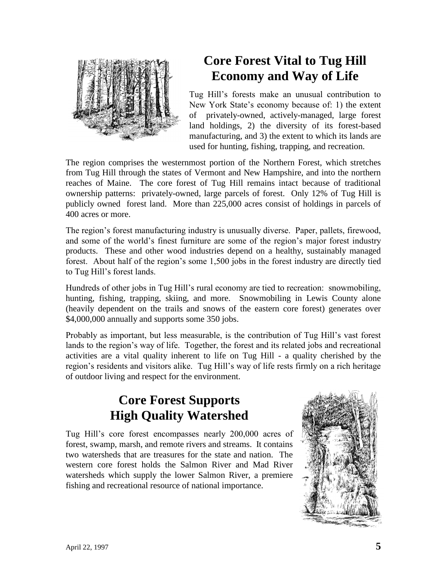

### **Core Forest Vital to Tug Hill Economy and Way of Life**

Tug Hill's forests make an unusual contribution to New York State's economy because of: 1) the extent of privately-owned, actively-managed, large forest land holdings, 2) the diversity of its forest-based manufacturing, and 3) the extent to which its lands are used for hunting, fishing, trapping, and recreation.

The region comprises the westernmost portion of the Northern Forest, which stretches from Tug Hill through the states of Vermont and New Hampshire, and into the northern reaches of Maine. The core forest of Tug Hill remains intact because of traditional ownership patterns: privately-owned, large parcels of forest. Only 12% of Tug Hill is publicly owned forest land. More than 225,000 acres consist of holdings in parcels of 400 acres or more.

The region's forest manufacturing industry is unusually diverse. Paper, pallets, firewood, and some of the world's finest furniture are some of the region's major forest industry products. These and other wood industries depend on a healthy, sustainably managed forest. About half of the region's some 1,500 jobs in the forest industry are directly tied to Tug Hill's forest lands.

Hundreds of other jobs in Tug Hill's rural economy are tied to recreation: snowmobiling, hunting, fishing, trapping, skiing, and more. Snowmobiling in Lewis County alone (heavily dependent on the trails and snows of the eastern core forest) generates over \$4,000,000 annually and supports some 350 jobs.

Probably as important, but less measurable, is the contribution of Tug Hill's vast forest lands to the region's way of life. Together, the forest and its related jobs and recreational activities are a vital quality inherent to life on Tug Hill - a quality cherished by the region's residents and visitors alike. Tug Hill's way of life rests firmly on a rich heritage of outdoor living and respect for the environment.

#### **Core Forest Supports High Quality Watershed**

Tug Hill's core forest encompasses nearly 200,000 acres of forest, swamp, marsh, and remote rivers and streams. It contains two watersheds that are treasures for the state and nation. The western core forest holds the Salmon River and Mad River watersheds which supply the lower Salmon River, a premiere fishing and recreational resource of national importance.

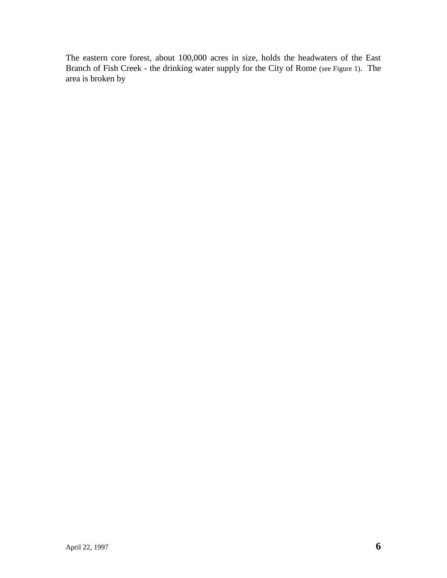The eastern core forest, about 100,000 acres in size, holds the headwaters of the East Branch of Fish Creek - the drinking water supply for the City of Rome (see Figure 1). The area is broken by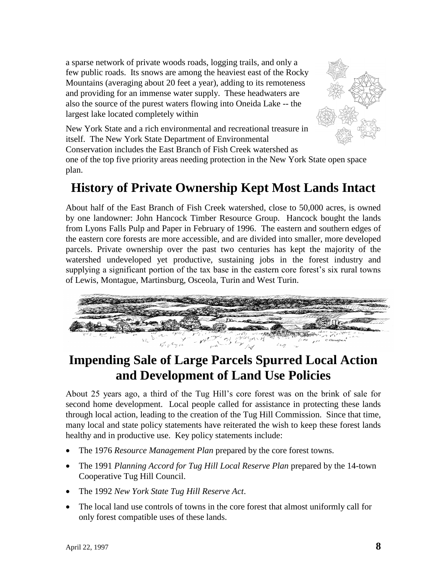a sparse network of private woods roads, logging trails, and only a few public roads. Its snows are among the heaviest east of the Rocky Mountains (averaging about 20 feet a year), adding to its remoteness and providing for an immense water supply. These headwaters are also the source of the purest waters flowing into Oneida Lake -- the largest lake located completely within



New York State and a rich environmental and recreational treasure in itself. The New York State Department of Environmental Conservation includes the East Branch of Fish Creek watershed as one of the top five priority areas needing protection in the New York State open space plan.

### **History of Private Ownership Kept Most Lands Intact**

About half of the East Branch of Fish Creek watershed, close to 50,000 acres, is owned by one landowner: John Hancock Timber Resource Group. Hancock bought the lands from Lyons Falls Pulp and Paper in February of 1996. The eastern and southern edges of the eastern core forests are more accessible, and are divided into smaller, more developed parcels. Private ownership over the past two centuries has kept the majority of the watershed undeveloped yet productive, sustaining jobs in the forest industry and supplying a significant portion of the tax base in the eastern core forest's six rural towns of Lewis, Montague, Martinsburg, Osceola, Turin and West Turin.



### **Impending Sale of Large Parcels Spurred Local Action and Development of Land Use Policies**

About 25 years ago, a third of the Tug Hill's core forest was on the brink of sale for second home development. Local people called for assistance in protecting these lands through local action, leading to the creation of the Tug Hill Commission. Since that time, many local and state policy statements have reiterated the wish to keep these forest lands healthy and in productive use. Key policy statements include:

- The 1976 *Resource Management Plan* prepared by the core forest towns.
- The 1991 *Planning Accord for Tug Hill Local Reserve Plan* prepared by the 14-town Cooperative Tug Hill Council.
- The 1992 *New York State Tug Hill Reserve Act*.
- The local land use controls of towns in the core forest that almost uniformly call for only forest compatible uses of these lands.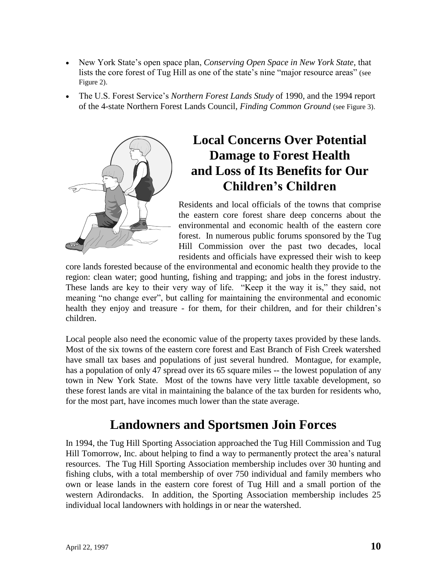- New York State's open space plan, *Conserving Open Space in New York State*, that lists the core forest of Tug Hill as one of the state's nine "major resource areas" (see Figure 2).
- The U.S. Forest Service's *Northern Forest Lands Study* of 1990, and the 1994 report of the 4-state Northern Forest Lands Council, *Finding Common Ground* (see Figure 3).



### **Local Concerns Over Potential Damage to Forest Health and Loss of Its Benefits for Our Children's Children**

Residents and local officials of the towns that comprise the eastern core forest share deep concerns about the environmental and economic health of the eastern core forest. In numerous public forums sponsored by the Tug Hill Commission over the past two decades, local residents and officials have expressed their wish to keep

core lands forested because of the environmental and economic health they provide to the region: clean water; good hunting, fishing and trapping; and jobs in the forest industry. These lands are key to their very way of life. "Keep it the way it is," they said, not meaning "no change ever", but calling for maintaining the environmental and economic health they enjoy and treasure - for them, for their children, and for their children's children.

Local people also need the economic value of the property taxes provided by these lands. Most of the six towns of the eastern core forest and East Branch of Fish Creek watershed have small tax bases and populations of just several hundred. Montague, for example, has a population of only 47 spread over its 65 square miles -- the lowest population of any town in New York State. Most of the towns have very little taxable development, so these forest lands are vital in maintaining the balance of the tax burden for residents who, for the most part, have incomes much lower than the state average.

### **Landowners and Sportsmen Join Forces**

In 1994, the Tug Hill Sporting Association approached the Tug Hill Commission and Tug Hill Tomorrow, Inc. about helping to find a way to permanently protect the area's natural resources. The Tug Hill Sporting Association membership includes over 30 hunting and fishing clubs, with a total membership of over 750 individual and family members who own or lease lands in the eastern core forest of Tug Hill and a small portion of the western Adirondacks. In addition, the Sporting Association membership includes 25 individual local landowners with holdings in or near the watershed.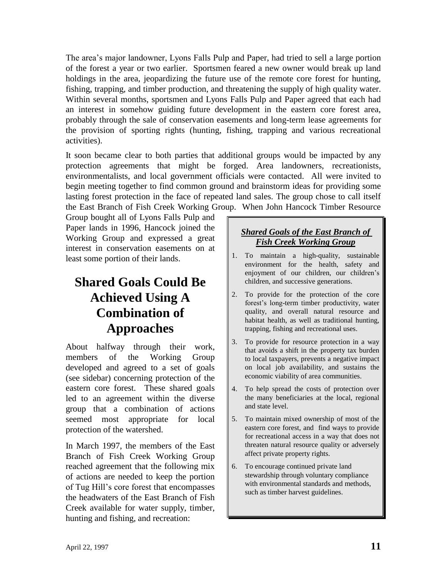The area's major landowner, Lyons Falls Pulp and Paper, had tried to sell a large portion of the forest a year or two earlier. Sportsmen feared a new owner would break up land holdings in the area, jeopardizing the future use of the remote core forest for hunting, fishing, trapping, and timber production, and threatening the supply of high quality water. Within several months, sportsmen and Lyons Falls Pulp and Paper agreed that each had an interest in somehow guiding future development in the eastern core forest area, probably through the sale of conservation easements and long-term lease agreements for the provision of sporting rights (hunting, fishing, trapping and various recreational activities).

It soon became clear to both parties that additional groups would be impacted by any protection agreements that might be forged. Area landowners, recreationists, environmentalists, and local government officials were contacted. All were invited to begin meeting together to find common ground and brainstorm ideas for providing some lasting forest protection in the face of repeated land sales. The group chose to call itself the East Branch of Fish Creek Working Group. When John Hancock Timber Resource

Group bought all of Lyons Falls Pulp and Paper lands in 1996, Hancock joined the Working Group and expressed a great interest in conservation easements on at least some portion of their lands.

### **Shared Goals Could Be Achieved Using A Combination of Approaches**

About halfway through their work, members of the Working Group developed and agreed to a set of goals (see sidebar) concerning protection of the eastern core forest. These shared goals led to an agreement within the diverse group that a combination of actions seemed most appropriate for local protection of the watershed.

In March 1997, the members of the East Branch of Fish Creek Working Group reached agreement that the following mix of actions are needed to keep the portion of Tug Hill's core forest that encompasses the headwaters of the East Branch of Fish Creek available for water supply, timber, hunting and fishing, and recreation:

#### *Shared Goals of the East Branch of Fish Creek Working Group*

- 1. To maintain a high-quality, sustainable environment for the health, safety and enjoyment of our children, our children's children, and successive generations.
- 2. To provide for the protection of the core forest's long-term timber productivity, water quality, and overall natural resource and habitat health, as well as traditional hunting, trapping, fishing and recreational uses.
- 3. To provide for resource protection in a way that avoids a shift in the property tax burden to local taxpayers, prevents a negative impact on local job availability, and sustains the economic viability of area communities.
- 4. To help spread the costs of protection over the many beneficiaries at the local, regional and state level.
- 5. To maintain mixed ownership of most of the eastern core forest, and find ways to provide for recreational access in a way that does not threaten natural resource quality or adversely affect private property rights.
- 6. To encourage continued private land stewardship through voluntary compliance with environmental standards and methods, such as timber harvest guidelines.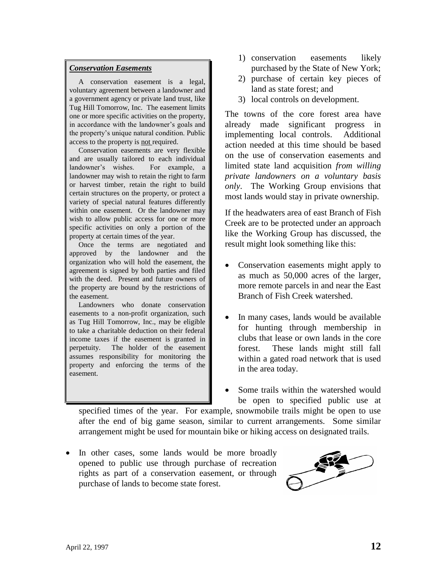#### *Conservation Easements*

 A conservation easement is a legal, voluntary agreement between a landowner and a government agency or private land trust, like Tug Hill Tomorrow, Inc. The easement limits one or more specific activities on the property, in accordance with the landowner's goals and the property's unique natural condition. Public access to the property is not required.

 Conservation easements are very flexible and are usually tailored to each individual landowner's wishes. For example, a landowner may wish to retain the right to farm or harvest timber, retain the right to build certain structures on the property, or protect a variety of special natural features differently within one easement. Or the landowner may wish to allow public access for one or more specific activities on only a portion of the property at certain times of the year.

 Once the terms are negotiated and approved by the landowner and the organization who will hold the easement, the agreement is signed by both parties and filed with the deed. Present and future owners of the property are bound by the restrictions of the easement.

 Landowners who donate conservation easements to a non-profit organization, such as Tug Hill Tomorrow, Inc., may be eligible to take a charitable deduction on their federal income taxes if the easement is granted in perpetuity. The holder of the easement assumes responsibility for monitoring the property and enforcing the terms of the easement.

- 1) conservation easements likely purchased by the State of New York;
- 2) purchase of certain key pieces of land as state forest; and
- 3) local controls on development.

The towns of the core forest area have already made significant progress in implementing local controls. Additional action needed at this time should be based on the use of conservation easements and limited state land acquisition *from willing private landowners on a voluntary basis only*. The Working Group envisions that most lands would stay in private ownership.

If the headwaters area of east Branch of Fish Creek are to be protected under an approach like the Working Group has discussed, the result might look something like this:

- Conservation easements might apply to as much as 50,000 acres of the larger, more remote parcels in and near the East Branch of Fish Creek watershed.
- In many cases, lands would be available for hunting through membership in clubs that lease or own lands in the core forest. These lands might still fall within a gated road network that is used in the area today.
- Some trails within the watershed would be open to specified public use at

specified times of the year. For example, snowmobile trails might be open to use after the end of big game season, similar to current arrangements. Some similar arrangement might be used for mountain bike or hiking access on designated trails.

• In other cases, some lands would be more broadly opened to public use through purchase of recreation rights as part of a conservation easement, or through purchase of lands to become state forest.

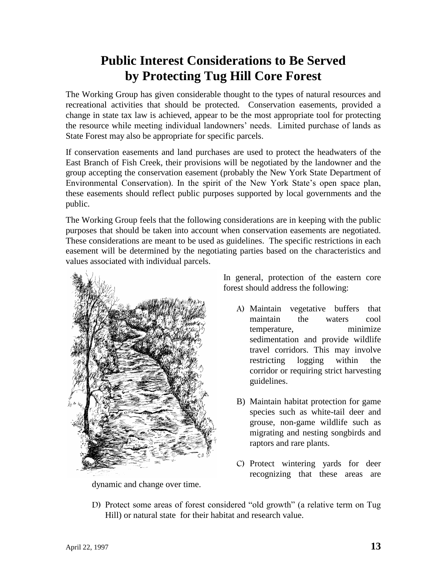### **Public Interest Considerations to Be Served by Protecting Tug Hill Core Forest**

The Working Group has given considerable thought to the types of natural resources and recreational activities that should be protected. Conservation easements, provided a change in state tax law is achieved, appear to be the most appropriate tool for protecting the resource while meeting individual landowners' needs. Limited purchase of lands as State Forest may also be appropriate for specific parcels.

If conservation easements and land purchases are used to protect the headwaters of the East Branch of Fish Creek, their provisions will be negotiated by the landowner and the group accepting the conservation easement (probably the New York State Department of Environmental Conservation). In the spirit of the New York State's open space plan, these easements should reflect public purposes supported by local governments and the public.

The Working Group feels that the following considerations are in keeping with the public purposes that should be taken into account when conservation easements are negotiated. These considerations are meant to be used as guidelines. The specific restrictions in each easement will be determined by the negotiating parties based on the characteristics and values associated with individual parcels.



dynamic and change over time.

In general, protection of the eastern core forest should address the following:

- A) Maintain vegetative buffers that maintain the waters cool temperature, minimize sedimentation and provide wildlife travel corridors. This may involve restricting logging within the corridor or requiring strict harvesting guidelines.
- B) Maintain habitat protection for game species such as white-tail deer and grouse, non-game wildlife such as migrating and nesting songbirds and raptors and rare plants.
- C) Protect wintering yards for deer recognizing that these areas are
- D) Protect some areas of forest considered "old growth" (a relative term on Tug Hill) or natural state for their habitat and research value.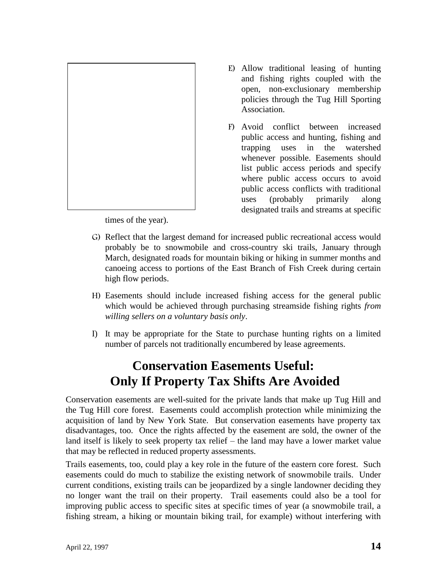

E) Allow traditional leasing of hunting and fishing rights coupled with the open, non-exclusionary membership policies through the Tug Hill Sporting Association.

F) Avoid conflict between increased public access and hunting, fishing and trapping uses in the watershed whenever possible. Easements should list public access periods and specify where public access occurs to avoid public access conflicts with traditional uses (probably primarily along designated trails and streams at specific

times of the year).

- G) Reflect that the largest demand for increased public recreational access would probably be to snowmobile and cross-country ski trails, January through March, designated roads for mountain biking or hiking in summer months and canoeing access to portions of the East Branch of Fish Creek during certain high flow periods.
- H) Easements should include increased fishing access for the general public which would be achieved through purchasing streamside fishing rights *from willing sellers on a voluntary basis only*.
- I) It may be appropriate for the State to purchase hunting rights on a limited number of parcels not traditionally encumbered by lease agreements.

#### **Conservation Easements Useful: Only If Property Tax Shifts Are Avoided**

Conservation easements are well-suited for the private lands that make up Tug Hill and the Tug Hill core forest. Easements could accomplish protection while minimizing the acquisition of land by New York State. But conservation easements have property tax disadvantages, too. Once the rights affected by the easement are sold, the owner of the land itself is likely to seek property tax relief – the land may have a lower market value that may be reflected in reduced property assessments.

Trails easements, too, could play a key role in the future of the eastern core forest. Such easements could do much to stabilize the existing network of snowmobile trails. Under current conditions, existing trails can be jeopardized by a single landowner deciding they no longer want the trail on their property. Trail easements could also be a tool for improving public access to specific sites at specific times of year (a snowmobile trail, a fishing stream, a hiking or mountain biking trail, for example) without interfering with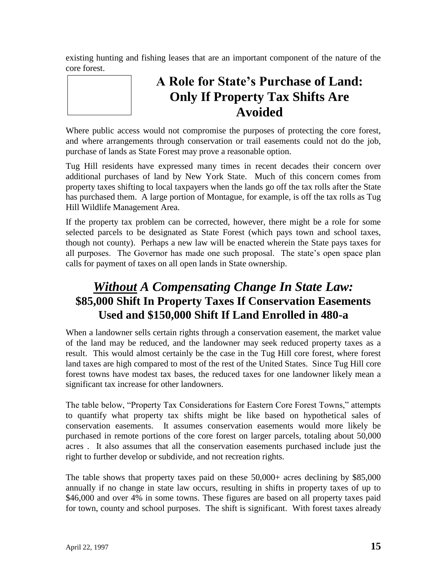existing hunting and fishing leases that are an important component of the nature of the core forest.



### **A Role for State's Purchase of Land: Only If Property Tax Shifts Are Avoided**

Where public access would not compromise the purposes of protecting the core forest, and where arrangements through conservation or trail easements could not do the job, purchase of lands as State Forest may prove a reasonable option.

Tug Hill residents have expressed many times in recent decades their concern over additional purchases of land by New York State. Much of this concern comes from property taxes shifting to local taxpayers when the lands go off the tax rolls after the State has purchased them. A large portion of Montague, for example, is off the tax rolls as Tug Hill Wildlife Management Area.

If the property tax problem can be corrected, however, there might be a role for some selected parcels to be designated as State Forest (which pays town and school taxes, though not county). Perhaps a new law will be enacted wherein the State pays taxes for all purposes. The Governor has made one such proposal. The state's open space plan calls for payment of taxes on all open lands in State ownership.

#### *Without A Compensating Change In State Law:* **\$85,000 Shift In Property Taxes If Conservation Easements Used and \$150,000 Shift If Land Enrolled in 480-a**

When a landowner sells certain rights through a conservation easement, the market value of the land may be reduced, and the landowner may seek reduced property taxes as a result. This would almost certainly be the case in the Tug Hill core forest, where forest land taxes are high compared to most of the rest of the United States. Since Tug Hill core forest towns have modest tax bases, the reduced taxes for one landowner likely mean a significant tax increase for other landowners.

The table below, "Property Tax Considerations for Eastern Core Forest Towns," attempts to quantify what property tax shifts might be like based on hypothetical sales of conservation easements. It assumes conservation easements would more likely be purchased in remote portions of the core forest on larger parcels, totaling about 50,000 acres . It also assumes that all the conservation easements purchased include just the right to further develop or subdivide, and not recreation rights.

The table shows that property taxes paid on these 50,000+ acres declining by \$85,000 annually if no change in state law occurs, resulting in shifts in property taxes of up to \$46,000 and over 4% in some towns. These figures are based on all property taxes paid for town, county and school purposes. The shift is significant. With forest taxes already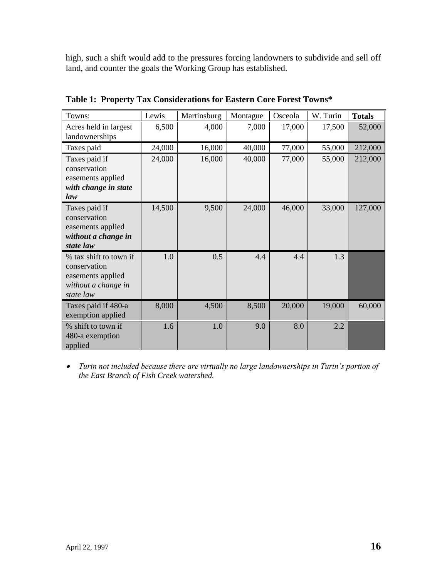high, such a shift would add to the pressures forcing landowners to subdivide and sell off land, and counter the goals the Working Group has established.

| Towns:                 | Lewis  | Martinsburg | Montague | Osceola | W. Turin | <b>Totals</b> |
|------------------------|--------|-------------|----------|---------|----------|---------------|
| Acres held in largest  | 6,500  | 4,000       | 7,000    | 17,000  | 17,500   | 52,000        |
| landownerships         |        |             |          |         |          |               |
| Taxes paid             | 24,000 | 16,000      | 40,000   | 77,000  | 55,000   | 212,000       |
| Taxes paid if          | 24,000 | 16,000      | 40,000   | 77,000  | 55,000   | 212,000       |
| conservation           |        |             |          |         |          |               |
| easements applied      |        |             |          |         |          |               |
| with change in state   |        |             |          |         |          |               |
| law                    |        |             |          |         |          |               |
| Taxes paid if          | 14,500 | 9,500       | 24,000   | 46,000  | 33,000   | 127,000       |
| conservation           |        |             |          |         |          |               |
| easements applied      |        |             |          |         |          |               |
| without a change in    |        |             |          |         |          |               |
| state law              |        |             |          |         |          |               |
| % tax shift to town if | 1.0    | 0.5         | 4.4      | 4.4     | 1.3      |               |
| conservation           |        |             |          |         |          |               |
| easements applied      |        |             |          |         |          |               |
| without a change in    |        |             |          |         |          |               |
| state law              |        |             |          |         |          |               |
| Taxes paid if 480-a    | 8,000  | 4,500       | 8,500    | 20,000  | 19,000   | 60,000        |
| exemption applied      |        |             |          |         |          |               |
| % shift to town if     | 1.6    | 1.0         | 9.0      | 8.0     | 2.2      |               |
| 480-a exemption        |        |             |          |         |          |               |
| applied                |        |             |          |         |          |               |

**Table 1: Property Tax Considerations for Eastern Core Forest Towns\***

 *Turin not included because there are virtually no large landownerships in Turin's portion of the East Branch of Fish Creek watershed.*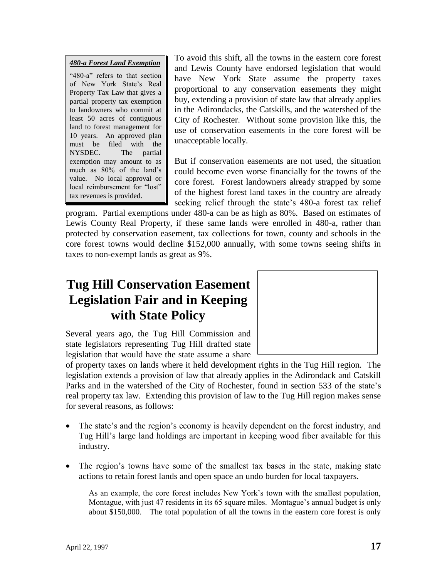*480-a Forest Land Exemption* "480-a" refers to that section of New York State's Real Property Tax Law that gives a partial property tax exemption to landowners who commit at least 50 acres of contiguous land to forest management for 10 years. An approved plan must be filed with the NYSDEC. The partial exemption may amount to as much as 80% of the land's value. No local approval or local reimbursement for "lost" tax revenues is provided.

To avoid this shift, all the towns in the eastern core forest and Lewis County have endorsed legislation that would have New York State assume the property taxes proportional to any conservation easements they might buy, extending a provision of state law that already applies in the Adirondacks, the Catskills, and the watershed of the City of Rochester. Without some provision like this, the use of conservation easements in the core forest will be unacceptable locally.

But if conservation easements are not used, the situation could become even worse financially for the towns of the core forest. Forest landowners already strapped by some of the highest forest land taxes in the country are already seeking relief through the state's 480-a forest tax relief

program. Partial exemptions under 480-a can be as high as 80%. Based on estimates of Lewis County Real Property, if these same lands were enrolled in 480-a, rather than protected by conservation easement, tax collections for town, county and schools in the core forest towns would decline \$152,000 annually, with some towns seeing shifts in taxes to non-exempt lands as great as 9%.

### **Tug Hill Conservation Easement Legislation Fair and in Keeping with State Policy**



Several years ago, the Tug Hill Commission and state legislators representing Tug Hill drafted state legislation that would have the state assume a share

of property taxes on lands where it held development rights in the Tug Hill region. The legislation extends a provision of law that already applies in the Adirondack and Catskill Parks and in the watershed of the City of Rochester, found in section 533 of the state's real property tax law. Extending this provision of law to the Tug Hill region makes sense for several reasons, as follows:

- The state's and the region's economy is heavily dependent on the forest industry, and Tug Hill's large land holdings are important in keeping wood fiber available for this industry.
- The region's towns have some of the smallest tax bases in the state, making state actions to retain forest lands and open space an undo burden for local taxpayers.

As an example, the core forest includes New York's town with the smallest population, Montague, with just 47 residents in its 65 square miles. Montague's annual budget is only about \$150,000. The total population of all the towns in the eastern core forest is only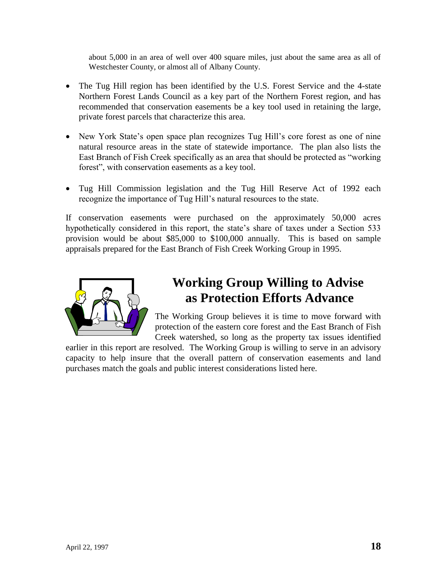about 5,000 in an area of well over 400 square miles, just about the same area as all of Westchester County, or almost all of Albany County.

- The Tug Hill region has been identified by the U.S. Forest Service and the 4-state Northern Forest Lands Council as a key part of the Northern Forest region, and has recommended that conservation easements be a key tool used in retaining the large, private forest parcels that characterize this area.
- New York State's open space plan recognizes Tug Hill's core forest as one of nine natural resource areas in the state of statewide importance. The plan also lists the East Branch of Fish Creek specifically as an area that should be protected as "working forest", with conservation easements as a key tool.
- Tug Hill Commission legislation and the Tug Hill Reserve Act of 1992 each recognize the importance of Tug Hill's natural resources to the state.

If conservation easements were purchased on the approximately 50,000 acres hypothetically considered in this report, the state's share of taxes under a Section 533 provision would be about \$85,000 to \$100,000 annually. This is based on sample appraisals prepared for the East Branch of Fish Creek Working Group in 1995.



#### **Working Group Willing to Advise as Protection Efforts Advance**

The Working Group believes it is time to move forward with protection of the eastern core forest and the East Branch of Fish Creek watershed, so long as the property tax issues identified

earlier in this report are resolved. The Working Group is willing to serve in an advisory capacity to help insure that the overall pattern of conservation easements and land purchases match the goals and public interest considerations listed here.